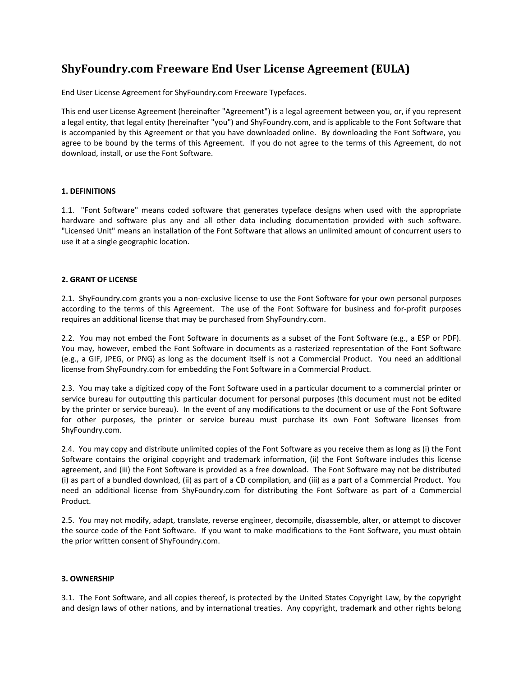# **ShyFoundry.com Freeware End User License Agreement (EULA)**

End User License Agreement for ShyFoundry.com Freeware Typefaces.

This end user License Agreement (hereinafter "Agreement") is a legal agreement between you, or, if you represent a legal entity, that legal entity (hereinafter "you") and ShyFoundry.com, and is applicable to the Font Software that is accompanied by this Agreement or that you have downloaded online. By downloading the Font Software, you agree to be bound by the terms of this Agreement. If you do not agree to the terms of this Agreement, do not download, install, or use the Font Software.

# **1. DEFINITIONS**

1.1. "Font Software" means coded software that generates typeface designs when used with the appropriate hardware and software plus any and all other data including documentation provided with such software. "Licensed Unit" means an installation of the Font Software that allows an unlimited amount of concurrent users to use it at a single geographic location.

## **2. GRANT OF LICENSE**

2.1. ShyFoundry.com grants you a non‐exclusive license to use the Font Software for your own personal purposes according to the terms of this Agreement. The use of the Font Software for business and for‐profit purposes requires an additional license that may be purchased from ShyFoundry.com.

2.2. You may not embed the Font Software in documents as a subset of the Font Software (e.g., a ESP or PDF). You may, however, embed the Font Software in documents as a rasterized representation of the Font Software (e.g., a GIF, JPEG, or PNG) as long as the document itself is not a Commercial Product. You need an additional license from ShyFoundry.com for embedding the Font Software in a Commercial Product.

2.3. You may take a digitized copy of the Font Software used in a particular document to a commercial printer or service bureau for outputting this particular document for personal purposes (this document must not be edited by the printer or service bureau). In the event of any modifications to the document or use of the Font Software for other purposes, the printer or service bureau must purchase its own Font Software licenses from ShyFoundry.com.

2.4. You may copy and distribute unlimited copies of the Font Software as you receive them as long as (i) the Font Software contains the original copyright and trademark information, (ii) the Font Software includes this license agreement, and (iii) the Font Software is provided as a free download. The Font Software may not be distributed (i) as part of a bundled download, (ii) as part of a CD compilation, and (iii) as a part of a Commercial Product. You need an additional license from ShyFoundry.com for distributing the Font Software as part of a Commercial Product.

2.5. You may not modify, adapt, translate, reverse engineer, decompile, disassemble, alter, or attempt to discover the source code of the Font Software. If you want to make modifications to the Font Software, you must obtain the prior written consent of ShyFoundry.com.

#### **3. OWNERSHIP**

3.1. The Font Software, and all copies thereof, is protected by the United States Copyright Law, by the copyright and design laws of other nations, and by international treaties. Any copyright, trademark and other rights belong